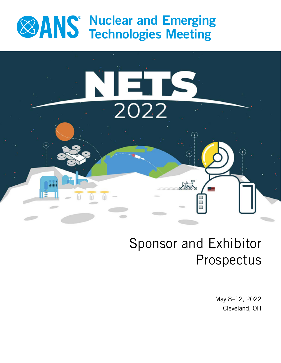# Nuclear and Emerging Technologies Meeting



# Sponsor and Exhibitor Prospectus

May 8–12, 2022 Cleveland, OH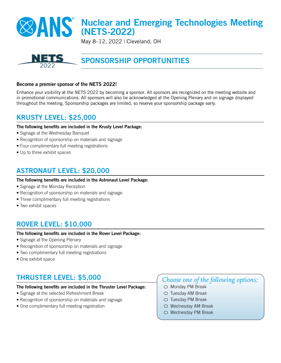# **XX ANS** Nuclear and Emerging Technologies Meeting (NETS-2022)

May 8–12, 2022 | Cleveland, OH



# SPONSORSHIP OPPORTUNITIES

### Become a premier sponsor of the NETS 2022!

Enhance your visibility at the NETS 2022 by becoming a sponsor. All sponsors are recognized on the meeting website and in promotional communications. All sponsors will also be acknowledged at the Opening Plenary and on signage displayed throughout the meeting. Sponsorship packages are limited, so reserve your sponsorship package early.

### KRUSTY LEVEL: \$25,000

#### The following benefits are included in the Krusty Level Package:

- Signage at the Wednesday Banquet
- Recognition of sponsorship on materials and signage
- Four complimentary full meeting registrations
- Up to three exhibit spaces

### ASTRONAUT LEVEL: \$20,000

#### The following benefits are included in the Astronaut Level Package:

- Signage at the Monday Reception
- Recognition of sponsorship on materials and signage
- Three complimentary full meeting registrations
- Two exhibit spaces

### ROVER LEVEL: \$10,000

#### The following benefits are included in the Rover Level Package:

- Signage at the Opening Plenary
- Recognition of sponsorship on materials and signage
- Two complimentary full meeting registrations
- One exhibit space

## THRUSTER LEVEL: \$5,000

#### The following benefits are included in the Thruster Level Package:

- Signage at the selected Refreshment Break
- Recognition of sponsorship on materials and signage
- One complimentary full meeting registration

### *Choose one of the following options:*

- $\circlearrowright$  Monday PM Break
- $\circlearrowright$  Tuesday AM Break
- $\circ$  Tuesday PM Break
- $\circlearrowright$  Wednesday AM Break
- Wednesday PM Break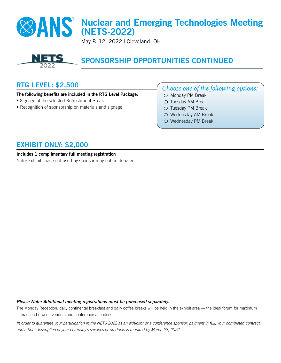# Nuclear and Emerging Technologies Meeting (NETS-2022)

May 8–12, 2022 | Cleveland, OH



# SPONSORSHIP OPPORTUNITIES CONTINUED

## RTG LEVEL: \$2,500

#### The following benefits are included in the RTG Level Package:

- Signage at the selected Refreshment Break
- Recognition of sponsorship on materials and signage

### *Choose one of the following options:*

- $\circlearrowright$  Monday PM Break  $\circ$  Tuesday AM Break
- Tuesday PM Break
- $\circlearrowright$  Wednesday AM Break
- O Wednesday PM Break

### EXHIBIT ONLY: \$2,000

#### Includes 1 complimentary full meeting registration

Note: Exhibit space not used by sponsor may not be donated.

#### *Please Note: Additional meeting registrations must be purchased separately.*

The Monday Reception, daily continental breakfast and daily coffee breaks will be held in the exhibit area — the ideal forum for maximum interaction between vendors and conference attendees.

*In order to guarantee your participation in the NETS 2022 as an exhibitor or a conference sponsor, payment in full, your completed contract and a brief description of your company's services or products is required by March 28, 2022.*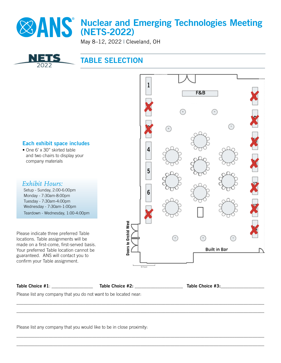

# Nuclear and Emerging Technologies Meeting (NETS-2022)

May 8–12, 2022 | Cleveland, OH



## TABLE SELECTION



| Table Choice #1: | Table Choice #2: | Table Choice #3: |
|------------------|------------------|------------------|
|                  |                  |                  |

\_\_\_\_\_\_\_\_\_\_\_\_\_\_\_\_\_\_\_\_\_\_\_\_\_\_\_\_\_\_\_\_\_\_\_\_\_\_\_\_\_\_\_\_\_\_\_\_\_\_\_\_\_\_\_\_\_\_\_\_\_\_\_\_\_\_\_\_\_\_\_\_\_\_\_\_\_\_\_\_\_\_\_\_\_\_\_\_\_\_\_\_\_\_\_\_\_\_\_\_\_\_\_\_\_\_\_\_ \_\_\_\_\_\_\_\_\_\_\_\_\_\_\_\_\_\_\_\_\_\_\_\_\_\_\_\_\_\_\_\_\_\_\_\_\_\_\_\_\_\_\_\_\_\_\_\_\_\_\_\_\_\_\_\_\_\_\_\_\_\_\_\_\_\_\_\_\_\_\_\_\_\_\_\_\_\_\_\_\_\_\_\_\_\_\_\_\_\_\_\_\_\_\_\_\_\_\_\_\_\_\_\_\_\_\_\_

\_\_\_\_\_\_\_\_\_\_\_\_\_\_\_\_\_\_\_\_\_\_\_\_\_\_\_\_\_\_\_\_\_\_\_\_\_\_\_\_\_\_\_\_\_\_\_\_\_\_\_\_\_\_\_\_\_\_\_\_\_\_\_\_\_\_\_\_\_\_\_\_\_\_\_\_\_\_\_\_\_\_\_\_\_\_\_\_\_\_\_\_\_\_\_\_\_\_\_\_\_\_\_\_\_\_\_\_ \_\_\_\_\_\_\_\_\_\_\_\_\_\_\_\_\_\_\_\_\_\_\_\_\_\_\_\_\_\_\_\_\_\_\_\_\_\_\_\_\_\_\_\_\_\_\_\_\_\_\_\_\_\_\_\_\_\_\_\_\_\_\_\_\_\_\_\_\_\_\_\_\_\_\_\_\_\_\_\_\_\_\_\_\_\_\_\_\_\_\_\_\_\_\_\_\_\_\_\_\_\_\_\_\_\_\_\_

Please list any company that you do not want to be located near:

Please list any company that you would like to be in close proximity: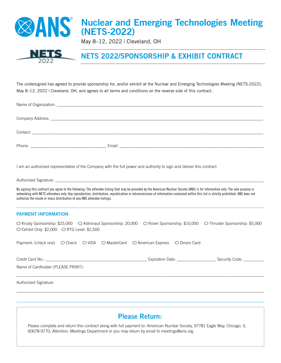

May 8–12, 2022 | Cleveland, OH



# NETS 2022/SPONSORSHIP & EXHIBIT CONTRACT

The undersigned has agreed to provide sponsorship for, and/or exhibit at the Nuclear and Emerging Technologies Meeting (NETS-2022), May 8-12, 2022 | Cleveland, OH, and agrees to all terms and conditions on the reverse side of this contract.

|                                                                                   | I am an authorized representative of the Company with the full power and authority to sign and deliver this contract                                                                                                                                                                                                                                                     |  |
|-----------------------------------------------------------------------------------|--------------------------------------------------------------------------------------------------------------------------------------------------------------------------------------------------------------------------------------------------------------------------------------------------------------------------------------------------------------------------|--|
|                                                                                   |                                                                                                                                                                                                                                                                                                                                                                          |  |
| authorize the resale or mass distribution of any ANS attendee listings.           | By signing this contract you agree to the following: The attendee listing that may be provided by the American Nuclear Society (ANS) is for information only. The sole purpose is<br>networking with NETS attendees only. Any reproduction, distribution, republication or retransmission of information contained within this list is strictly prohibited. ANS does not |  |
| <b>PAYMENT INFORMATION</b>                                                        |                                                                                                                                                                                                                                                                                                                                                                          |  |
| ○ Exhibit Only: \$2,000 ○ RTG Level: \$2,500                                      | ○ Krusty Sponsorship: \$25,000  ○ Astronaut Sponsorship: 20,000  ○ Rover Sponsorship: \$10,000  ○ Thruster Sponsorship: \$5,000                                                                                                                                                                                                                                          |  |
| Payment: (check one) ○ Check ○ VISA ○ MasterCard ○ American Express ○ Diners Card |                                                                                                                                                                                                                                                                                                                                                                          |  |
|                                                                                   |                                                                                                                                                                                                                                                                                                                                                                          |  |
| Name of Cardholder (PLEASE PRINT):                                                |                                                                                                                                                                                                                                                                                                                                                                          |  |
| Authorized Signature:                                                             |                                                                                                                                                                                                                                                                                                                                                                          |  |

Please Return:

\_\_\_\_\_\_\_\_\_\_\_\_\_\_\_\_\_\_\_\_\_\_\_\_\_\_\_\_\_\_\_\_\_\_\_\_\_\_\_\_\_\_\_\_\_\_\_\_\_\_\_\_\_\_\_\_\_\_\_\_\_\_\_\_\_\_\_\_\_\_\_\_\_\_\_\_\_\_\_\_\_\_\_\_\_\_\_\_\_\_\_\_\_\_\_\_\_\_\_\_\_\_\_\_\_\_\_\_\_\_\_\_\_\_\_\_\_\_\_\_

Please complete and return this contract along with full payment to: American Nuclear Society, 97781 Eagle Way, Chicago, IL 60678-9770; Attention: Meetings Department or you may return by email to meetings@ans.org.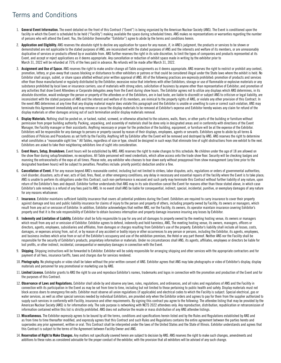# Terms and Conditions

- 1. General Event Information. The event detailed on the front of this Contract ("Event") is being organized by the American Nuclear Society (ANS). The Event is conditioned upon the facility in which the Event is scheduled to be held ("Facility") making available the space during scheduled times. ANS makes no representations or warranties regarding the number of persons who will attend the Event. You, the Exhibitor (hereinafter "Exhibitor") agree to abide by the terms and conditions herein.
- 2. Application and Eligibility. ANS reserves the absolute right to decline any application for space for any reason, if, in ANS's judgment, the products or services to be shown or demonstrated are not applicable to the stated purposes of ANS, are inconsistent with the stated purposes of ANS and the interests and welfare of its members, or are unreasonably duplicative of services or products offered by or available from. ANS further reserves the right in its sole discretion, to limit the types of companies and products represented at its Event, and accept or reject applications as it deems appropriate. Any cancellation or reduction of exhibit space made in writing by the exhibitor prior to March 31, 2022 will be refunded at 75% of the fees paid in advance. No refunds will be made after March 31, 2022.
- 3. Assignment and Use of Space. ANS reserves the right to make and/or change all Table assignments as it deems appropriate. ANS reserves the right to restrict or prohibit any contest, promotion, lottery, or give-away that causes blocking or disturbance to other exhibitors or patrons or that could be considered illegal under the State laws where the exhibit is held. No Exhibitor shall assign, sublet, or share space allotted without prior written approval of ANS. All of the following practices are expressly prohibited: promotion of products and services other than those manufactured or regularly distributed by the Exhibitor; excessive noise that interferes with other Exhibitors; storage or use of flammable or explosive materials or any substance prohibited by local laws or insurance carriers; use of materials with strong odors; solicitation of business by anyone other than representative of Exhibitor; and promotion of any activities that draw Event Attendees or Corporate delegates away from the Event during show hours. The Exhibitor agrees not to utilize any displays which ANS determines, in its absolute discretion, would endanger the person or property of the attendees or of the Exhibitors, are in bad taste, are liable to discredit or subject ANS to criticism or legal liability, are inconsistent with the stated purposes of ANS and the interest and welfare of its members, are inimical to the property rights of ANS, or violate any other provision of this Contract. In the event ANS determines at any time that any display material may/or does violate this paragraph and the Exhibitor is unable or unwilling to cure or correct such violation, ANS may terminate this Agreement immediately and may remove or cause the display materials to be removed at Exhibitor's expense and Exhibitor hereby waives any claim for refund of the display materials or other damages arising out of such termination and/or display materials removal.
- 4. Display Materials. Nothing shall be posted on, or tacked, nailed, screwed, or otherwise attached to the columns, walls, floors, or other parts of the building or furniture without permission from proper building authority. Packing, unpacking, and assembly of materials shall be done only in designated areas and in conformity with directions of the Event Manager, the Facility manager or their assistants. Anything necessary or proper for the protection of the building, equipment, or furniture will be at the expense of the Exhibitor. Exhibitors will be responsible for any damage to persons or property caused by reason of their displays, employees, agents or servants. Exhibitors agree to abide by all terms & conditions of Policies and Procedures as set forth by the Facility. Anything left by Exhibitor after the Event will be removed and destroyed by ANS. ANS reserves the right to determine what constitutes a "reasonable sight line." All Tables, regardless of size or type, should be designed in such ways that eliminate line of sight obstructions from one exhibit to the next. Exhibitors are asked to take their neighboring exhibitors line of sight into consideration.
- 5. Event Hours, Setup, Breakdown. Event hours will be established by ANS. ANS reserves the right to make changes to this schedule. No children under the age of 18 are allowed on the show floor during setup/breakdown, no exceptions. All Table personnel will need credentials, which allow access onto the trade show floor. Security will be checking badges and manning the entrance/exits of the expo at all times. Please note, any exhibitor who chooses to tear down early without preapproval from show management (any time prior to the designated teardown hours) will be subject to penalties. Penalties include: priority point(s) deduction and/or a fine.
- 6. Cancellation of Event. If for any reason beyond ANS's reasonable control, including but not limited to strikes; labor disputes; acts, regulations or orders of governmental authorities; civil disorder; disasters; acts of war; acts of God; fires, flood, or other emergency conditions; any delay in necessary and essential repairs of the facility where the Event is to take place; ANS is unable to perform its obligations under this Contract, such non-performance is excused and such party may terminate this Contract without further liability of any nature, upon return of the Exhibitor's fees and deposit. Exhibitor further understands that ANS may in its sole discretion cancel the Event for reasons other than those stated above, in which case Exhibitor's sole remedy is a refund of any fees paid to ANS. In no event shall ANS be liable for consequential, indirect, special, incidental, punitive, or exemplary damages of any nature for any reasons whatsoever.
- 7. Insurance. Exhibitor maintains sufficient liability insurance that covers all potential problems during the Event. Exhibitors are required to carry insurance to cover their property against damage and loss and public liability insurance for claims of injury to the person and property of others, including property owned by Facility, its owners or managers, which result from any act or omission of Exhibitor. In addition, Exhibitor acknowledges that neither ANS, nor the Facility, its owners, its operator maintain insurance covering Exhibitor's property and that it is the sole responsibility of Exhibitor to obtain business interruption and property damage insurance insuring any losses by Exhibitor.
- 8. Indemnity and Limitation of Liability. Exhibitor shall be fully responsible to pay for any and all damages to property owned by the meeting hosting venue, its owners or managers which result from any act or omission of Exhibitor. Exhibitor agrees to defend, indemnify and hold harmless, ANS, The meeting hosting venue, its owners, managers, officers or directors, agents, employees, subsidiaries and affiliates, from damages or charges resulting from Exhibitor's use of the property. Exhibitor's liability shall include all losses, costs, damages, or expenses arising from, out of, or by reason of any accident or bodily injury or other occurrences to any person or persons, including the Exhibitor, its agents, employees, and business invitees which arise from or out of the Exhibitor's occupancy and use of the exhibition premises, the Hotel or any part thereof. Neither ANS nor the Facility shall be responsible for the security of Exhibitor's products, proprietary information or materials. Under no circumstances shall ANS, its agents, affiliates, employees or directors be liable for lost profits, or other indirect, incidental, consequential or exemplary damages in connection with the Event.
- 9. Shipping. Shipping instructions will be forwarded to Exhibitor. Exhibitor will be solely responsible for arranging shipping and other services with the appropriate contractors and for payment of all fees, insurance tariffs, taxes and charges due for services rendered.
- 10. Photography. No photographs or video shall be taken without the prior written consent of ANS. Exhibitor agrees that ANS may take photographs or video of Exhibitor's display, display materials and personnel for any promotional or marketing use by ANS.
- 11. Limited License. Exhibitor grants to ANS the right to use and reproduce Exhibitor's names, trademarks and logos in connection with the promotion and production of the Event and for the purposes of this Contract.
- 12. Observance of Laws and Regulations, Exhibitor shall abide by and observe any laws, rules, regulations, and ordinances, and all rules and regulations of ANS and the Facility in connection with its participation in the Event as may be set from time to time, including but not limited to those pertaining to public health and safety. Display materials must not block access doors to emergency fire exits. Exhibitor must observe all union regulations (if applicable) and electrical codes to which the Facility is subject. Special electrical, gas or water services, as well as other special services needed by individual Exhibitors, are provided only when the Exhibitor orders and agrees to pay for them from the supplier authorized to supply such services in conformity with Facility, insurance and other requirements. By signing this contract you agree to the following: The attendee listing that may be provided by the American Nuclear Society (ANS) is for information only. The sole purpose is networking with NETS 2022 attendees only. Any reproduction, distribution, republication or retransmission of information contained within this list is strictly prohibited. ANS does not authorize the resale or mass distribution of any ANS attendee listings.
- 13. Miscellaneous. The Exhibitor expressly agrees to be bound by all the terms, conditions and specifications herein listed and by the Rules and Regulations established by ANS and as from time to time thereafter modified, and expressly agrees that this Contract and such Rules and Regulations contains the entire agreement between the parties hereto and supersedes any prior agreement, written or oral. This Contract shall be interpreted under the laws of the United States and the State of Illinois. Exhibitor understands and agrees that this Contract is subject to the terms of the Agreement between Facility Owner and ANS.
- 14. Reservation of Right to Make Changes. Any matters not specifically covered herein are subject to decision by ANS. ANS reserves the right to make such changes, amendments and additions to these rules as considered advisable for the proper conduct of the exhibitor, with the provision that all exhibitors will be advised of any such change.